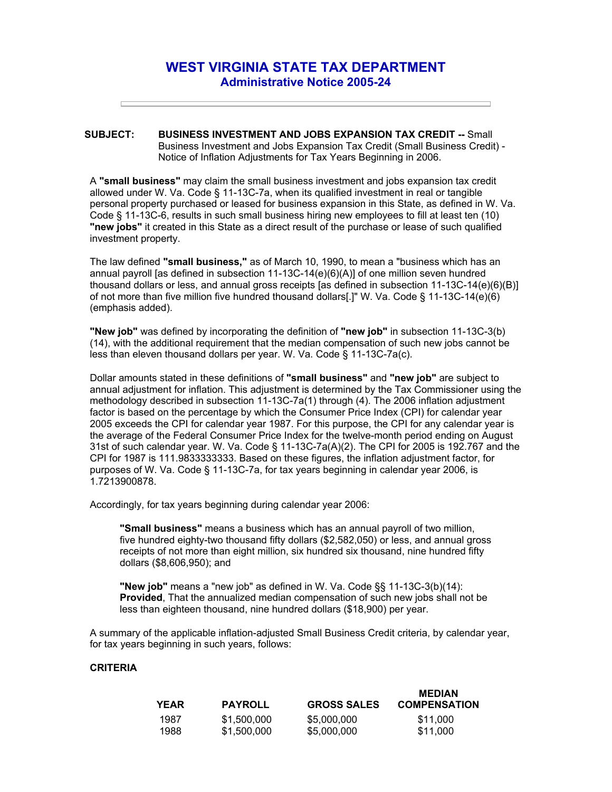## **WEST VIRGINIA STATE TAX DEPARTMENT Administrative Notice 2005-24**

## **SUBJECT: BUSINESS INVESTMENT AND JOBS EXPANSION TAX CREDIT --** Small Business Investment and Jobs Expansion Tax Credit (Small Business Credit) - Notice of Inflation Adjustments for Tax Years Beginning in 2006.

A **"small business"** may claim the small business investment and jobs expansion tax credit allowed under W. Va. Code § 11-13C-7a, when its qualified investment in real or tangible personal property purchased or leased for business expansion in this State, as defined in W. Va. Code § 11-13C-6, results in such small business hiring new employees to fill at least ten (10) **"new jobs"** it created in this State as a direct result of the purchase or lease of such qualified investment property.

The law defined **"small business,"** as of March 10, 1990, to mean a "business which has an annual payroll [as defined in subsection 11-13C-14(e)(6)(A)] of one million seven hundred thousand dollars or less, and annual gross receipts [as defined in subsection 11-13C-14(e)(6)(B)] of not more than five million five hundred thousand dollars[.]" W. Va. Code § 11-13C-14(e)(6) (emphasis added).

**"New job"** was defined by incorporating the definition of **"new job"** in subsection 11-13C-3(b) (14), with the additional requirement that the median compensation of such new jobs cannot be less than eleven thousand dollars per year. W. Va. Code § 11-13C-7a(c).

Dollar amounts stated in these definitions of **"small business"** and **"new job"** are subject to annual adjustment for inflation. This adjustment is determined by the Tax Commissioner using the methodology described in subsection 11-13C-7a(1) through (4). The 2006 inflation adjustment factor is based on the percentage by which the Consumer Price Index (CPI) for calendar year 2005 exceeds the CPI for calendar year 1987. For this purpose, the CPI for any calendar year is the average of the Federal Consumer Price Index for the twelve-month period ending on August 31st of such calendar year. W. Va. Code § 11-13C-7a(A)(2). The CPI for 2005 is 192.767 and the CPI for 1987 is 111.9833333333. Based on these figures, the inflation adjustment factor, for purposes of W. Va. Code § 11-13C-7a, for tax years beginning in calendar year 2006, is 1.7213900878.

Accordingly, for tax years beginning during calendar year 2006:

**"Small business"** means a business which has an annual payroll of two million, five hundred eighty-two thousand fifty dollars (\$2,582,050) or less, and annual gross receipts of not more than eight million, six hundred six thousand, nine hundred fifty dollars (\$8,606,950); and

**"New job"** means a "new job" as defined in W. Va. Code §§ 11-13C-3(b)(14): **Provided**, That the annualized median compensation of such new jobs shall not be less than eighteen thousand, nine hundred dollars (\$18,900) per year.

A summary of the applicable inflation-adjusted Small Business Credit criteria, by calendar year, for tax years beginning in such years, follows:

## **CRITERIA**

| YEAR | <b>PAYROLL</b> | <b>GROSS SALES</b> | <b>MEDIAN</b><br><b>COMPENSATION</b> |
|------|----------------|--------------------|--------------------------------------|
| 1987 | \$1,500,000    | \$5,000,000        | \$11.000                             |
| 1988 | \$1,500,000    | \$5,000,000        | \$11,000                             |